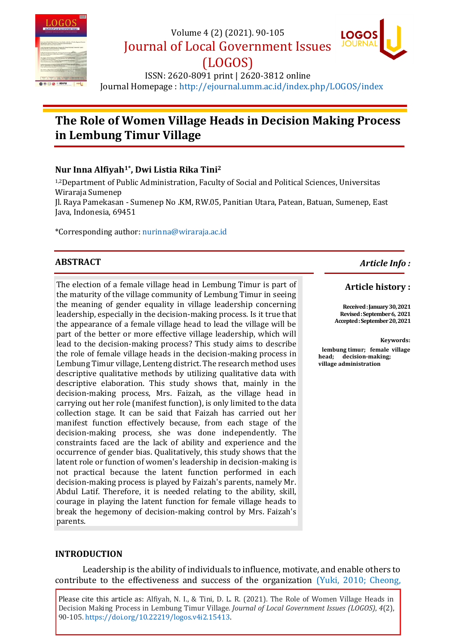

Volume 4 (2) (2021). 90-105

(LOGOS)

Journal of Local Government Issues



ISSN: 2620-8091 print | 2620-3812 online Journal Homepage : <http://ejournal.umm.ac.id/index.php/LOGOS/index>

# **The Role of Women Village Heads in Decision Making Process in Lembung Timur Village**

# **Nur Inna Alfiyah1\* , Dwi Listia Rika Tini<sup>2</sup>**

1,2Department of Public Administration, Faculty of Social and Political Sciences, Universitas Wiraraja Sumenep

Jl. Raya Pamekasan - Sumenep No .KM, RW.05, Panitian Utara, Patean, Batuan, Sumenep, East Java, Indonesia, 69451

\*Corresponding author: [nurinna@wiraraja.ac.id](mailto:nurinna@wiraraja.ac.id,)

# **ABSTRACT**

The election of a female village head in Lembung Timur is part of the maturity of the village community of Lembung Timur in seeing the meaning of gender equality in village leadership concerning leadership, especially in the decision-making process. Is it true that the appearance of a female village head to lead the village will be part of the better or more effective village leadership, which will lead to the decision-making process? This study aims to describe the role of female village heads in the decision-making process in Lembung Timur village, Lenteng district. The research method uses descriptive qualitative methods by utilizing qualitative data with descriptive elaboration. This study shows that, mainly in the decision-making process, Mrs. Faizah, as the village head in carrying out her role (manifest function), is only limited to the data collection stage. It can be said that Faizah has carried out her manifest function effectively because, from each stage of the decision-making process, she was done independently. The constraints faced are the lack of ability and experience and the occurrence of gender bias. Qualitatively, this study shows that the latent role or function of women's leadership in decision-making is not practical because the latent function performed in each decision-making process is played by Faizah's parents, namely Mr. Abdul Latif. Therefore, it is needed relating to the ability, skill, courage in playing the latent function for female village heads to break the hegemony of decision-making control by Mrs. Faizah's parents.

#### *Article Info :*

#### **Article history :**

**Received : January 30, 2021 Revised :September 6, 2021 Accepted : September 20, 2021**

#### **Keywords:**

**lembung timur; female village head; decision-making; village administration**

#### **INTRODUCTION**

Leadership is the ability of individuals to influence, motivate, and enable others to contribute to the effectiveness and success of the organization [\(Yuki, 2010;](#page-15-0) [Cheong,](#page-13-0) 

Please cite this article as: Alfiyah, N. I., & Tini, D. L. R. (2021). The Role of Women Village Heads in Decision Making Process in Lembung Timur Village. *Journal of Local Government Issues (LOGOS)*, *4*(2), 90-105. [https://doi.org/10.22219/logos.v4i2.15413.](https://doi.org/10.22219/logos.v4i2.15413)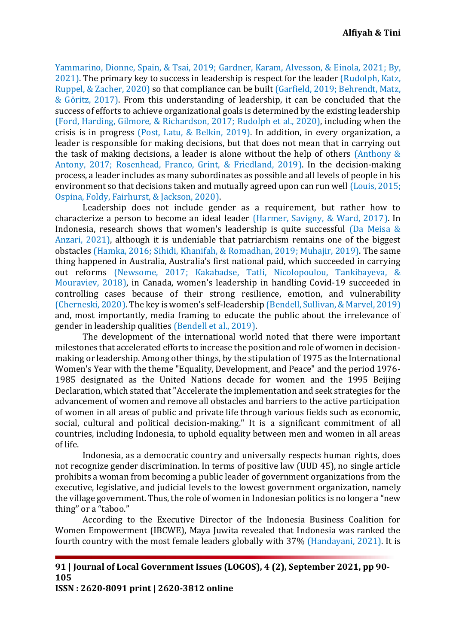[Yammarino, Dionne, Spain, & Tsai, 2019;](#page-13-0) [Gardner, Karam, Alvesson, & Einola, 2021;](#page-13-1) [By,](#page-13-2)  [2021\)](#page-13-2). The primary key to success in leadership is respect for the leader [\(Rudolph, Katz,](#page-15-1)  [Ruppel, & Zacher, 2020\)](#page-15-1) so that compliance can be built [\(Garfield, 2019;](#page-13-3) [Behrendt, Matz,](#page-13-4)  [& Göritz, 2017\)](#page-13-4). From this understanding of leadership, it can be concluded that the success of efforts to achieve organizational goals is determined by the existing leadership [\(Ford, Harding, Gilmore, & Richardson, 2017;](#page-13-5) [Rudolph et al., 2020\)](#page-15-1), including when the crisis is in progress [\(Post, Latu, & Belkin, 2019\)](#page-14-0). In addition, in every organization, a leader is responsible for making decisions, but that does not mean that in carrying out the task of making decisions, a leader is alone without the help of others [\(Anthony &](#page-13-6)  [Antony, 2017;](#page-13-6) [Rosenhead, Franco, Grint, & Friedland, 2019\)](#page-15-2). In the decision-making process, a leader includes as many subordinates as possible and all levels of people in his environment so that decisions taken and mutually agreed upon can run well [\(Louis, 2015;](#page-14-1) [Ospina, Foldy, Fairhurst, & Jackson, 2020\)](#page-14-2).

Leadership does not include gender as a requirement, but rather how to characterize a person to become an ideal leader [\(Harmer, Savigny, & Ward, 2017\)](#page-14-3). In Indonesia, research shows that women's leadership is quite successful [\(Da Meisa &](#page-13-7)  [Anzari, 2021\)](#page-13-7), although it is undeniable that patriarchism remains one of the biggest obstacles [\(Hamka, 2016;](#page-14-4) [Sihidi, Khanifah, & Romadhan, 2019;](#page-15-3) [Muhajir, 2019\)](#page-14-5). The same thing happened in Australia, Australia's first national paid, which succeeded in carrying out reforms [\(Newsome, 2017;](#page-14-6) [Kakabadse, Tatli, Nicolopoulou, Tankibayeva, &](#page-14-7)  [Mouraviev, 2018\)](#page-14-7), in Canada, women's leadership in handling Covid-19 succeeded in controlling cases because of their strong resilience, emotion, and vulnerability [\(Cherneski, 2020\)](#page-13-8). The key is women's self-leadership [\(Bendell, Sullivan, & Marvel, 2019\)](#page-13-9) and, most importantly, media framing to educate the public about the irrelevance of gender in leadership qualities [\(Bendell et al., 2019\)](#page-13-9).

The development of the international world noted that there were important milestones that accelerated efforts to increase the position and role of women in decisionmaking or leadership. Among other things, by the stipulation of 1975 as the International Women's Year with the theme "Equality, Development, and Peace" and the period 1976- 1985 designated as the United Nations decade for women and the 1995 Beijing Declaration, which stated that "Accelerate the implementation and seek strategies for the advancement of women and remove all obstacles and barriers to the active participation of women in all areas of public and private life through various fields such as economic, social, cultural and political decision-making." It is a significant commitment of all countries, including Indonesia, to uphold equality between men and women in all areas of life.

Indonesia, as a democratic country and universally respects human rights, does not recognize gender discrimination. In terms of positive law (UUD 45), no single article prohibits a woman from becoming a public leader of government organizations from the executive, legislative, and judicial levels to the lowest government organization, namely the village government. Thus, the role of women in Indonesian politics is no longer a "new thing" or a "taboo."

According to the Executive Director of the Indonesia Business Coalition for Women Empowerment (IBCWE), Maya Juwita revealed that Indonesia was ranked the fourth country with the most female leaders globally with 37% [\(Handayani, 2021\)](#page-14-8). It is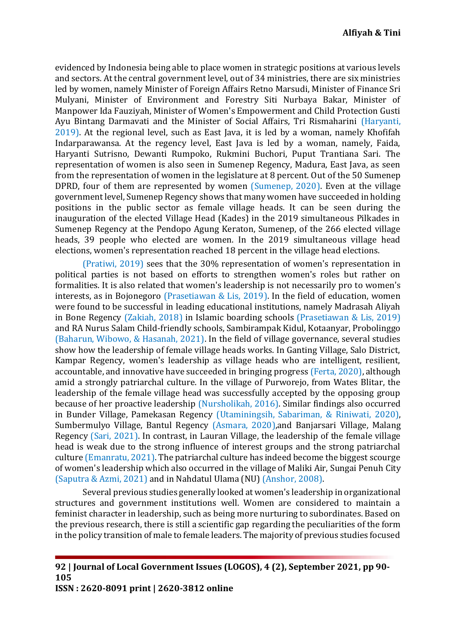evidenced by Indonesia being able to place women in strategic positions at various levels and sectors. At the central government level, out of 34 ministries, there are six ministries led by women, namely Minister of Foreign Affairs Retno Marsudi, Minister of Finance Sri Mulyani, Minister of Environment and Forestry Siti Nurbaya Bakar, Minister of Manpower Ida Fauziyah, Minister of Women's Empowerment and Child Protection Gusti Ayu Bintang Darmavati and the Minister of Social Affairs, Tri Rismaharini [\(Haryanti,](#page-14-9)  [2019\)](#page-14-9). At the regional level, such as East Java, it is led by a woman, namely Khofifah Indarparawansa. At the regency level, East Java is led by a woman, namely, Faida, Haryanti Sutrisno, Dewanti Rumpoko, Rukmini Buchori, Puput Trantiana Sari. The representation of women is also seen in Sumenep Regency, Madura, East Java, as seen from the representation of women in the legislature at 8 percent. Out of the 50 Sumenep DPRD, four of them are represented by women [\(Sumenep, 2020\)](#page-15-4). Even at the village government level, Sumenep Regency shows that many women have succeeded in holding positions in the public sector as female village heads. It can be seen during the inauguration of the elected Village Head (Kades) in the 2019 simultaneous Pilkades in Sumenep Regency at the Pendopo Agung Keraton, Sumenep, of the 266 elected village heads, 39 people who elected are women. In the 2019 simultaneous village head elections, women's representation reached 18 percent in the village head elections.

[\(Pratiwi, 2019\)](#page-14-10) sees that the 30% representation of women's representation in political parties is not based on efforts to strengthen women's roles but rather on formalities. It is also related that women's leadership is not necessarily pro to women's interests, as in Bojonegoro [\(Prasetiawan & Lis, 2019\)](#page-14-11). In the field of education, women were found to be successful in leading educational institutions, namely Madrasah Aliyah in Bone Regency [\(Zakiah, 2018\)](#page-15-5) in Islamic boarding schools [\(Prasetiawan & Lis, 2019\)](#page-14-11) and RA Nurus Salam Child-friendly schools, Sambirampak Kidul, Kotaanyar, Probolinggo [\(Baharun, Wibowo, & Hasanah, 2021\)](#page-13-10). In the field of village governance, several studies show how the leadership of female village heads works. In Ganting Village, Salo District, Kampar Regency, women's leadership as village heads who are intelligent, resilient, accountable, and innovative have succeeded in bringing progress [\(Ferta, 2020\)](#page-13-11), although amid a strongly patriarchal culture. In the village of Purworejo, from Wates Blitar, the leadership of the female village head was successfully accepted by the opposing group because of her proactive leadership [\(Nursholikah, 2016\)](#page-14-12). Similar findings also occurred in Bunder Village, Pamekasan Regency [\(Utaminingsih, Sabariman, & Riniwati, 2020\)](#page-15-6), Sumbermulyo Village, Bantul Regency [\(Asmara, 2020\)](#page-13-12),and Banjarsari Village, Malang Regency [\(Sari, 2021\)](#page-15-7). In contrast, in Lauran Village, the leadership of the female village head is weak due to the strong influence of interest groups and the strong patriarchal culture [\(Emanratu, 2021\)](#page-13-13). The patriarchal culture has indeed become the biggest scourge of women's leadership which also occurred in the village of Maliki Air, Sungai Penuh City [\(Saputra & Azmi, 2021\)](#page-15-8) and in Nahdatul Ulama (NU) [\(Anshor, 2008\)](#page-13-14).

Several previous studies generally looked at women's leadership in organizational structures and government institutions well. Women are considered to maintain a feminist character in leadership, such as being more nurturing to subordinates. Based on the previous research, there is still a scientific gap regarding the peculiarities of the form in the policy transition of male to female leaders. The majority of previous studies focused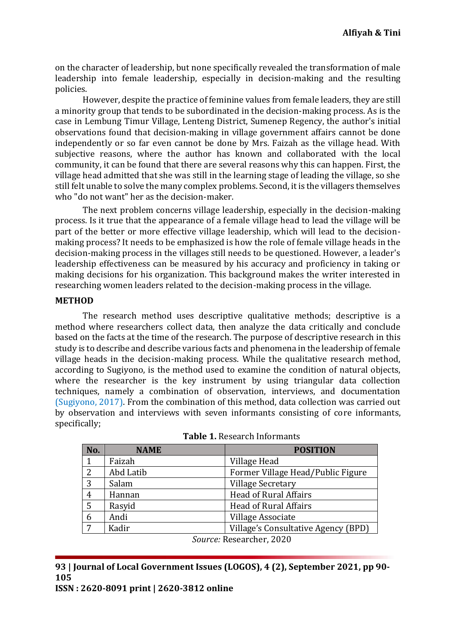on the character of leadership, but none specifically revealed the transformation of male leadership into female leadership, especially in decision-making and the resulting policies.

However, despite the practice of feminine values from female leaders, they are still a minority group that tends to be subordinated in the decision-making process. As is the case in Lembung Timur Village, Lenteng District, Sumenep Regency, the author's initial observations found that decision-making in village government affairs cannot be done independently or so far even cannot be done by Mrs. Faizah as the village head. With subjective reasons, where the author has known and collaborated with the local community, it can be found that there are several reasons why this can happen. First, the village head admitted that she was still in the learning stage of leading the village, so she still felt unable to solve the many complex problems. Second, it is the villagers themselves who "do not want" her as the decision-maker.

The next problem concerns village leadership, especially in the decision-making process. Is it true that the appearance of a female village head to lead the village will be part of the better or more effective village leadership, which will lead to the decisionmaking process? It needs to be emphasized is how the role of female village heads in the decision-making process in the villages still needs to be questioned. However, a leader's leadership effectiveness can be measured by his accuracy and proficiency in taking or making decisions for his organization. This background makes the writer interested in researching women leaders related to the decision-making process in the village.

#### **METHOD**

The research method uses descriptive qualitative methods; descriptive is a method where researchers collect data, then analyze the data critically and conclude based on the facts at the time of the research. The purpose of descriptive research in this study is to describe and describe various facts and phenomena in the leadership of female village heads in the decision-making process. While the qualitative research method, according to Sugiyono, is the method used to examine the condition of natural objects, where the researcher is the key instrument by using triangular data collection techniques, namely a combination of observation, interviews, and documentation [\(Sugiyono, 2017\)](#page-15-9). From the combination of this method, data collection was carried out by observation and interviews with seven informants consisting of core informants, specifically;

| No.                      | <b>NAME</b> | <b>POSITION</b>                     |  |  |
|--------------------------|-------------|-------------------------------------|--|--|
| 1                        | Faizah      | Village Head                        |  |  |
| 2                        | Abd Latib   | Former Village Head/Public Figure   |  |  |
| 3                        | Salam       | <b>Village Secretary</b>            |  |  |
| 4                        | Hannan      | <b>Head of Rural Affairs</b>        |  |  |
| 5                        | Rasyid      | <b>Head of Rural Affairs</b>        |  |  |
| 6                        | Andi        | Village Associate                   |  |  |
| 7                        | Kadir       | Village's Consultative Agency (BPD) |  |  |
| Source: Researcher, 2020 |             |                                     |  |  |

| <b>Table 1. Research Informants</b> |
|-------------------------------------|
|-------------------------------------|

**93 | Journal of Local Government Issues (LOGOS), 4 (2), September 2021, pp 90- 105**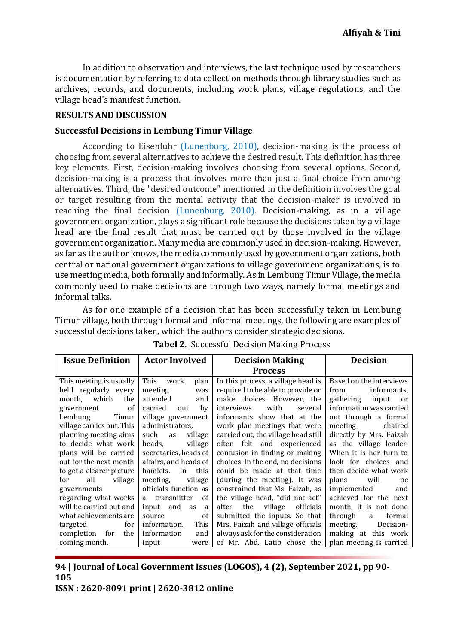In addition to observation and interviews, the last technique used by researchers is documentation by referring to data collection methods through library studies such as archives, records, and documents, including work plans, village regulations, and the village head's manifest function.

### **RESULTS AND DISCUSSION**

#### **Successful Decisions in Lembung Timur Village**

According to Eisenfuhr [\(Lunenburg, 2010\)](#page-14-13), decision-making is the process of choosing from several alternatives to achieve the desired result. This definition has three key elements. First, decision-making involves choosing from several options. Second, decision-making is a process that involves more than just a final choice from among alternatives. Third, the "desired outcome" mentioned in the definition involves the goal or target resulting from the mental activity that the decision-maker is involved in reaching the final decision [\(Lunenburg, 2010\)](#page-14-13). Decision-making, as in a village government organization, plays a significant role because the decisions taken by a village head are the final result that must be carried out by those involved in the village government organization. Many media are commonly used in decision-making. However, as far as the author knows, the media commonly used by government organizations, both central or national government organizations to village government organizations, is to use meeting media, both formally and informally. As in Lembung Timur Village, the media commonly used to make decisions are through two ways, namely formal meetings and informal talks.

As for one example of a decision that has been successfully taken in Lembung Timur village, both through formal and informal meetings, the following are examples of successful decisions taken, which the authors consider strategic decisions.

| <b>Issue Definition</b>     | <b>Actor Involved</b>  | <b>Decision Making</b>               | <b>Decision</b>          |
|-----------------------------|------------------------|--------------------------------------|--------------------------|
|                             |                        | <b>Process</b>                       |                          |
| This meeting is usually     | This<br>plan<br>work   | In this process, a village head is   | Based on the interviews  |
| held regularly every        | meeting<br>was         | required to be able to provide or    | informants,<br>from      |
| month. which<br>the         | attended<br>and        | make choices. However, the           | gathering<br>input<br>or |
| <sub>of</sub><br>government | carried<br>by<br>out   | with<br>interviews<br>several        | information was carried  |
| Lembung<br>Timur            | village government     | informants show that at the          | out through a formal     |
| village carries out. This   | administrators,        | work plan meetings that were         | meeting<br>chaired       |
| planning meeting aims       | such<br>village<br>as  | carried out, the village head still  | directly by Mrs. Faizah  |
| to decide what work         | heads,<br>village      | often felt and experienced           | as the village leader.   |
| plans will be carried       | secretaries, heads of  | confusion in finding or making       | When it is her turn to   |
| out for the next month      | affairs, and heads of  | choices. In the end, no decisions    | look for choices and     |
| to get a clearer picture    | this<br>hamlets.<br>In | could be made at that time           | then decide what work    |
| all<br>village<br>for       | village<br>meeting.    | (during the meeting). It was         | plans will<br>be         |
| governments                 | officials function as  | constrained that Ms. Faizah, as      | implemented and          |
| regarding what works        | a transmitter<br>0f    | the village head, "did not act"      | achieved for the next    |
| will be carried out and     | input and<br>as<br>a   | the<br>village<br>officials<br>after | month, it is not done    |
| what achievements are       | of<br>source           | submitted the inputs. So that        | through<br>formal<br>a   |
| for<br>targeted             | information.<br>This   | Mrs. Faizah and village officials    | meeting.<br>Decision-    |
| completion for<br>the       | information<br>and     | always ask for the consideration     | making at this work      |
| coming month.               | input<br>were          | of Mr. Abd. Latib chose the          | plan meeting is carried  |

**Tabel 2**. Successful Decision Making Process

**94 | Journal of Local Government Issues (LOGOS), 4 (2), September 2021, pp 90- 105**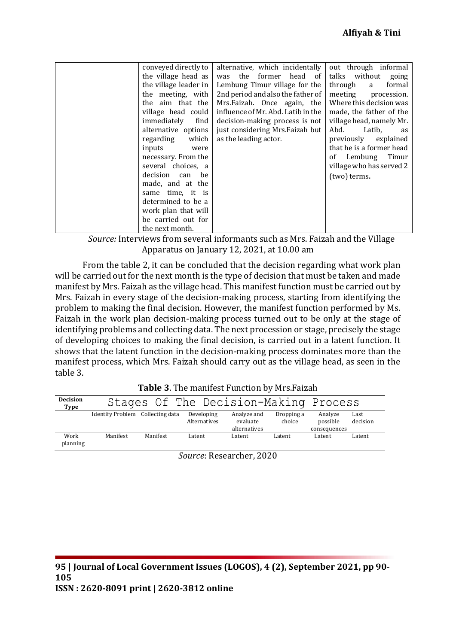| conveyed directly to  |       | alternative, which incidentally    |         |              | out through informal     |
|-----------------------|-------|------------------------------------|---------|--------------|--------------------------|
| the village head as   |       | the<br>former<br>was               | head of | talks        | without<br>going         |
| the village leader in |       | Lembung Timur village for the      |         | through      | formal<br>a              |
| the meeting, with     |       | 2nd period and also the father of  |         | meeting      | procession.              |
| the aim that the      |       | Mrs. Faizah. Once again, the       |         |              | Where this decision was  |
| village head could    |       | influence of Mr. Abd. Latib in the |         |              | made, the father of the  |
| immediately           | find  | decision-making process is not     |         |              | village head, namely Mr. |
| alternative options   |       | just considering Mrs. Faizah but   |         | Abd.         | Latib,<br>as             |
| regarding             | which | as the leading actor.              |         | previously   | explained                |
| inputs                | were  |                                    |         |              | that he is a former head |
| necessary. From the   |       |                                    |         | of Lembung   | Timur                    |
| several choices, a    |       |                                    |         |              | village who has served 2 |
| decision can          | be    |                                    |         | (two) terms. |                          |
| made, and at the      |       |                                    |         |              |                          |
| same time, it is      |       |                                    |         |              |                          |
| determined to be a    |       |                                    |         |              |                          |
| work plan that will   |       |                                    |         |              |                          |
| be carried out for    |       |                                    |         |              |                          |
| the next month.       |       |                                    |         |              |                          |

*Source:* Interviews from several informants such as Mrs. Faizah and the Village Apparatus on January 12, 2021, at 10.00 am

From the table 2, it can be concluded that the decision regarding what work plan will be carried out for the next month is the type of decision that must be taken and made manifest by Mrs. Faizah as the village head. This manifest function must be carried out by Mrs. Faizah in every stage of the decision-making process, starting from identifying the problem to making the final decision. However, the manifest function performed by Ms. Faizah in the work plan decision-making process turned out to be only at the stage of identifying problems and collecting data. The next procession or stage, precisely the stage of developing choices to making the final decision, is carried out in a latent function. It shows that the latent function in the decision-making process dominates more than the manifest process, which Mrs. Faizah should carry out as the village head, as seen in the table 3.

| <b>Decision</b><br>Type |                                  |          |                            | Stages Of The Decision-Making Process   |                      |                                     |                  |
|-------------------------|----------------------------------|----------|----------------------------|-----------------------------------------|----------------------|-------------------------------------|------------------|
|                         | Identify Problem Collecting data |          | Developing<br>Alternatives | Analyze and<br>evaluate<br>alternatives | Dropping a<br>choice | Analyze<br>possible<br>consequences | Last<br>decision |
| Work<br>planning        | Manifest                         | Manifest | Latent                     | Latent                                  | Latent               | Latent                              | Latent           |

| Table 3. The manifest Function by Mrs. Faizah |
|-----------------------------------------------|
|                                               |

*Source*: Researcher, 2020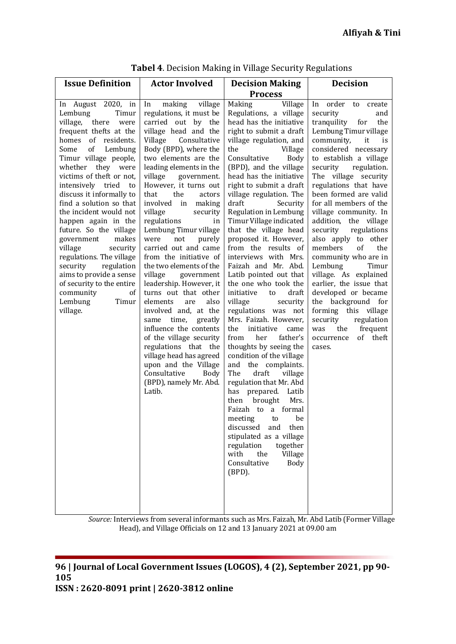|                                                                                                                                                                                                                                                                                                                                                                                                                                                                                                                                                                                                     | <b>Actor Involved</b>                                                                                                                                                                                                                                                                                                                                                                                                                                                                                                                                                                                                                                                                                                                                                                                                                    | <b>Decision Making</b>                                                                                                                                                                                                                                                                                                                                                                                                                                                                                                                                                                                                                                                                                                                                                                                                                                                                                                                                                                                                                                                                        | <b>Decision</b>                                                                                                                                                                                                                                                                                                                                                                                                                                                                                                                                                                                                                                                                                       |
|-----------------------------------------------------------------------------------------------------------------------------------------------------------------------------------------------------------------------------------------------------------------------------------------------------------------------------------------------------------------------------------------------------------------------------------------------------------------------------------------------------------------------------------------------------------------------------------------------------|------------------------------------------------------------------------------------------------------------------------------------------------------------------------------------------------------------------------------------------------------------------------------------------------------------------------------------------------------------------------------------------------------------------------------------------------------------------------------------------------------------------------------------------------------------------------------------------------------------------------------------------------------------------------------------------------------------------------------------------------------------------------------------------------------------------------------------------|-----------------------------------------------------------------------------------------------------------------------------------------------------------------------------------------------------------------------------------------------------------------------------------------------------------------------------------------------------------------------------------------------------------------------------------------------------------------------------------------------------------------------------------------------------------------------------------------------------------------------------------------------------------------------------------------------------------------------------------------------------------------------------------------------------------------------------------------------------------------------------------------------------------------------------------------------------------------------------------------------------------------------------------------------------------------------------------------------|-------------------------------------------------------------------------------------------------------------------------------------------------------------------------------------------------------------------------------------------------------------------------------------------------------------------------------------------------------------------------------------------------------------------------------------------------------------------------------------------------------------------------------------------------------------------------------------------------------------------------------------------------------------------------------------------------------|
|                                                                                                                                                                                                                                                                                                                                                                                                                                                                                                                                                                                                     |                                                                                                                                                                                                                                                                                                                                                                                                                                                                                                                                                                                                                                                                                                                                                                                                                                          | <b>Process</b>                                                                                                                                                                                                                                                                                                                                                                                                                                                                                                                                                                                                                                                                                                                                                                                                                                                                                                                                                                                                                                                                                |                                                                                                                                                                                                                                                                                                                                                                                                                                                                                                                                                                                                                                                                                                       |
| In August 2020, in<br>In<br>Lembung<br>Timur<br>village, there<br>were<br>frequent thefts at the<br>homes of residents.<br>of<br>Lembung<br>Some<br>Timur village people,<br>whether they were<br>victims of theft or not,<br>intensively tried to<br>discuss it informally to<br>find a solution so that<br>the incident would not<br>happen again in the<br>future. So the village<br>makes<br>government<br>village<br>security<br>regulations. The village<br>security<br>regulation<br>aims to provide a sense<br>of security to the entire<br>community<br>οf<br>Lembung<br>Timur<br>village. | making<br>village<br>regulations, it must be<br>carried out by the<br>village head and the<br>Consultative<br>Village<br>Body (BPD), where the<br>two elements are the<br>leading elements in the<br>village<br>government.<br>However, it turns out<br>the<br>that<br>actors<br>involved in<br>making<br>village<br>security<br>regulations<br>in<br>Lembung Timur village<br>purely<br>were<br>not<br>carried out and came<br>from the initiative of<br>the two elements of the<br>village<br>government<br>leadership. However, it<br>turns out that other<br>elements<br>also<br>are<br>involved and, at the<br>time,<br>greatly<br>same<br>influence the contents<br>of the village security<br>regulations that the<br>village head has agreed<br>upon and the Village<br>Consultative<br>Body<br>(BPD), namely Mr. Abd.<br>Latib. | Making<br>Village<br>Regulations, a village<br>head has the initiative<br>right to submit a draft<br>village regulation, and<br>the<br>Village<br>Consultative<br><b>Body</b><br>(BPD), and the village<br>head has the initiative<br>right to submit a draft<br>village regulation. The<br>Security<br>draft<br>Regulation in Lembung<br>Timur Village indicated<br>that the village head<br>proposed it. However,<br>from the results of<br>interviews with Mrs.<br>Faizah and Mr. Abd.<br>Latib pointed out that<br>the one who took the<br>initiative<br>draft<br>to<br>village<br>security<br>regulations was not<br>Mrs. Faizah. However,<br>the<br>initiative<br>came<br>father's<br>from<br>her<br>thoughts by seeing the<br>condition of the village<br>and the complaints.<br>The<br>draft<br>village<br>regulation that Mr. Abd<br>has prepared. Latib<br>brought<br>then<br>Mrs.<br>Faizah to<br>a formal<br>he<br>meeting to<br>discussed<br>and then<br>stipulated as a village<br>regulation<br>together<br>the<br>Village<br>with<br>Consultative<br><b>Body</b><br>$(BPD)$ . | order to<br>In<br>create<br>security<br>and<br>tranquility<br>the<br>for<br>Lembung Timur village<br>community,<br>it<br>is<br>considered necessary<br>to establish a village<br>security<br>regulation.<br>The village security<br>regulations that have<br>been formed are valid<br>for all members of the<br>village community. In<br>addition, the village<br>security<br>regulations<br>also apply to other<br>members<br>of<br>the<br>community who are in<br>Lembung<br>Timur<br>village. As explained<br>earlier, the issue that<br>developed or became<br>the background for<br>forming this village<br>regulation<br>security<br>frequent<br>the<br>was<br>of theft<br>occurrence<br>cases. |

**Tabel 4**. Decision Making in Village Security Regulations

*Source:* Interviews from several informants such as Mrs. Faizah, Mr. Abd Latib (Former Village Head), and Village Officials on 12 and 13 January 2021 at 09.00 am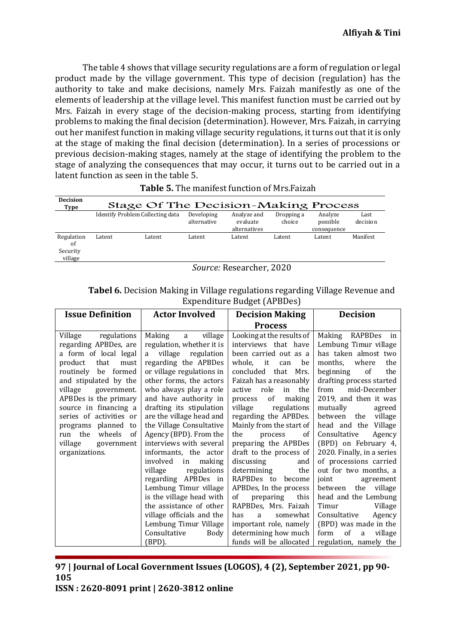The table 4 shows that village security regulations are a form of regulation or legal product made by the village government. This type of decision (regulation) has the authority to take and make decisions, namely Mrs. Faizah manifestly as one of the elements of leadership at the village level. This manifest function must be carried out by Mrs. Faizah in every stage of the decision-making process, starting from identifying problems to making the final decision (determination). However, Mrs. Faizah, in carrying out her manifest function in making village security regulations, it turns out that it is only at the stage of making the final decision (determination). In a series of processions or previous decision-making stages, namely at the stage of identifying the problem to the stage of analyzing the consequences that may occur, it turns out to be carried out in a latent function as seen in the table 5.

| <b>Decision</b><br>Type                 |        | Stage Of The Decision-Making Process    |                           |                                         |                      |                                    |                  |
|-----------------------------------------|--------|-----------------------------------------|---------------------------|-----------------------------------------|----------------------|------------------------------------|------------------|
|                                         |        | <b>Identify Problem Collecting data</b> | Developing<br>alternative | Analyze and<br>evaluate<br>alternatives | Dropping a<br>choice | Analyze<br>possible<br>consequence | Last<br>decision |
| Regulation<br>of<br>Security<br>village | Latent | Latent                                  | Latent                    | Latent                                  | Latent               | Latent                             | Manifest         |

|  | <b>Table 5.</b> The manifest function of Mrs. Faizah |  |  |  |
|--|------------------------------------------------------|--|--|--|
|--|------------------------------------------------------|--|--|--|

*Source:* Researcher, 2020

| <b>Tabel 6.</b> Decision Making in Village regulations regarding Village Revenue and |
|--------------------------------------------------------------------------------------|
| Expenditure Budget (APBDes)                                                          |

| <b>Issue Definition</b>                                                                                                                                                                                                                                                                                                                                 | <b>Actor Involved</b>                                                                                                                                                                                                                                                                                                                                                                                                                                                                                                                         | <b>Decision Making</b>                                                                                                                                                                                                                                                                                                                                                                                                                                                                                                                      | <b>Decision</b>                                                                                                                                                                                                                                                                                                                                                                                                                                                                                                            |  |
|---------------------------------------------------------------------------------------------------------------------------------------------------------------------------------------------------------------------------------------------------------------------------------------------------------------------------------------------------------|-----------------------------------------------------------------------------------------------------------------------------------------------------------------------------------------------------------------------------------------------------------------------------------------------------------------------------------------------------------------------------------------------------------------------------------------------------------------------------------------------------------------------------------------------|---------------------------------------------------------------------------------------------------------------------------------------------------------------------------------------------------------------------------------------------------------------------------------------------------------------------------------------------------------------------------------------------------------------------------------------------------------------------------------------------------------------------------------------------|----------------------------------------------------------------------------------------------------------------------------------------------------------------------------------------------------------------------------------------------------------------------------------------------------------------------------------------------------------------------------------------------------------------------------------------------------------------------------------------------------------------------------|--|
|                                                                                                                                                                                                                                                                                                                                                         |                                                                                                                                                                                                                                                                                                                                                                                                                                                                                                                                               | <b>Process</b>                                                                                                                                                                                                                                                                                                                                                                                                                                                                                                                              |                                                                                                                                                                                                                                                                                                                                                                                                                                                                                                                            |  |
| regulations<br>Village<br>regarding APBDes, are<br>a form of local legal<br>that<br>product<br>must<br>routinely be formed<br>and stipulated by the<br>village<br>government.<br>APBDes is the primary<br>source in financing a<br>series of activities or<br>programs planned to<br>run the<br>wheels<br>of<br>village<br>government<br>organizations. | village<br>Making<br>a<br>regulation, whether it is<br>a village regulation<br>regarding the APBDes<br>or village regulations in<br>other forms, the actors<br>who always play a role<br>and have authority in<br>drafting its stipulation<br>are the village head and<br>the Village Consultative<br>Agency (BPD). From the<br>interviews with several<br>informants, the actor<br>involved<br>making<br>in<br>village regulations<br>APBDes in<br>regarding<br>Lembung Timur village<br>is the village head with<br>the assistance of other | Looking at the results of<br>interviews that have<br>been carried out as a<br>whole, it<br>be<br>can<br>concluded<br>that<br>Mrs.<br>Faizah has a reasonably<br>role<br>active<br>in<br>the<br>of<br>making<br>process<br>village<br>regulations<br>regarding the APBDes.<br>Mainly from the start of<br>the<br><sub>of</sub><br>process<br>preparing the APBDes<br>draft to the process of<br>discussing<br>and<br>determining<br>the<br>RAPBDes to<br>become<br>APBDes, In the process<br>preparing<br>of<br>this<br>RAPBDes, Mrs. Faizah | RAPBDes<br>Making<br>in<br>Lembung Timur village<br>has taken almost two<br>months,<br>where<br>the<br>beginning<br>of<br>the<br>drafting process started<br>mid-December<br>from<br>2019, and then it was<br>mutually<br>agreed<br>village<br>between<br>the<br>head and the<br>Village<br>Consultative<br>Agency<br>(BPD) on February 4,<br>2020. Finally, in a series<br>of processions carried<br>out for two months, a<br>joint<br>agreement<br>the<br>village<br>between<br>head and the Lembung<br>Timur<br>Village |  |
|                                                                                                                                                                                                                                                                                                                                                         | village officials and the<br>Lembung Timur Village                                                                                                                                                                                                                                                                                                                                                                                                                                                                                            | somewhat<br>has<br>a                                                                                                                                                                                                                                                                                                                                                                                                                                                                                                                        | Consultative<br>Agency<br>(BPD) was made in the                                                                                                                                                                                                                                                                                                                                                                                                                                                                            |  |
|                                                                                                                                                                                                                                                                                                                                                         | Consultative<br>Body                                                                                                                                                                                                                                                                                                                                                                                                                                                                                                                          | important role, namely<br>determining how much                                                                                                                                                                                                                                                                                                                                                                                                                                                                                              | of<br>form<br>village<br>a                                                                                                                                                                                                                                                                                                                                                                                                                                                                                                 |  |
|                                                                                                                                                                                                                                                                                                                                                         | (BPD).                                                                                                                                                                                                                                                                                                                                                                                                                                                                                                                                        | funds will be allocated                                                                                                                                                                                                                                                                                                                                                                                                                                                                                                                     | regulation, namely the                                                                                                                                                                                                                                                                                                                                                                                                                                                                                                     |  |

# **97 | Journal of Local Government Issues (LOGOS), 4 (2), September 2021, pp 90- 105**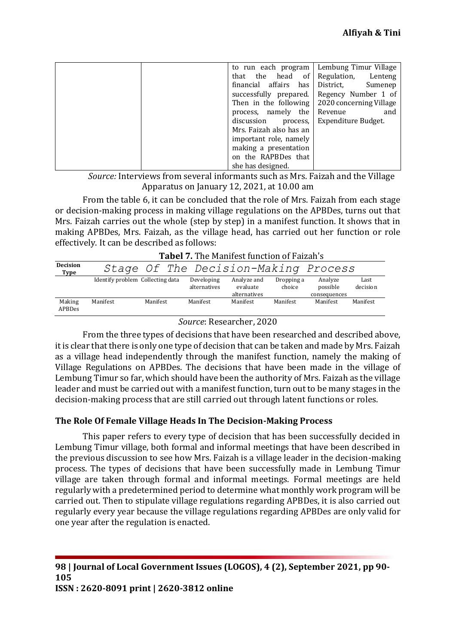|                             | to run each program   Lembung Timur Village           |
|-----------------------------|-------------------------------------------------------|
| head of<br>that the         | Regulation,<br>Lenteng                                |
| affairs<br>has<br>financial | District,<br>Sumenep                                  |
| successfully prepared.      | Regency Number 1 of                                   |
|                             | Then in the following $\vert$ 2020 concerning Village |
| process, namely the         | Revenue<br>and                                        |
| discussion<br>process,      | Expenditure Budget.                                   |
| Mrs. Faizah also has an     |                                                       |
| important role, namely      |                                                       |
| making a presentation       |                                                       |
| on the RAPBDes that         |                                                       |
| she has designed.           |                                                       |

*Source:* Interviews from several informants such as Mrs. Faizah and the Village Apparatus on January 12, 2021, at 10.00 am

From the table 6, it can be concluded that the role of Mrs. Faizah from each stage or decision-making process in making village regulations on the APBDes, turns out that Mrs. Faizah carries out the whole (step by step) in a manifest function. It shows that in making APBDes, Mrs. Faizah, as the village head, has carried out her function or role effectively. It can be described as follows:

|                         | Taber 7. The Mannest function of Faizan S |                                      |                            |                                         |                      |                                     |                  |  |
|-------------------------|-------------------------------------------|--------------------------------------|----------------------------|-----------------------------------------|----------------------|-------------------------------------|------------------|--|
| <b>Decision</b><br>Type |                                           | Stage Of The Decision-Making Process |                            |                                         |                      |                                     |                  |  |
|                         | Identify problem Collecting data          |                                      | Developing<br>alternatives | Analyze and<br>evaluate<br>alternatives | Dropping a<br>choice | Analyze<br>possible<br>consequences | Last<br>decision |  |
| Making<br>APBDes        | Manifest                                  | Manifest                             | Manifest                   | Manifest                                | Manifest             | Manifest                            | Manifest         |  |

| <b>Tabel 7.</b> The Manifest function of Faizah's |  |
|---------------------------------------------------|--|
|---------------------------------------------------|--|

### *Source*: Researcher, 2020

From the three types of decisions that have been researched and described above, it is clear that there is only one type of decision that can be taken and made by Mrs. Faizah as a village head independently through the manifest function, namely the making of Village Regulations on APBDes. The decisions that have been made in the village of Lembung Timur so far, which should have been the authority of Mrs. Faizah as the village leader and must be carried out with a manifest function, turn out to be many stages in the decision-making process that are still carried out through latent functions or roles.

# **The Role Of Female Village Heads In The Decision-Making Process**

This paper refers to every type of decision that has been successfully decided in Lembung Timur village, both formal and informal meetings that have been described in the previous discussion to see how Mrs. Faizah is a village leader in the decision-making process. The types of decisions that have been successfully made in Lembung Timur village are taken through formal and informal meetings. Formal meetings are held regularly with a predetermined period to determine what monthly work program will be carried out. Then to stipulate village regulations regarding APBDes, it is also carried out regularly every year because the village regulations regarding APBDes are only valid for one year after the regulation is enacted.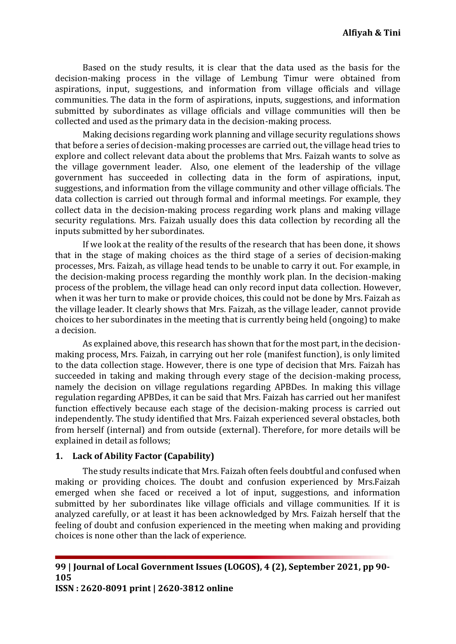Based on the study results, it is clear that the data used as the basis for the decision-making process in the village of Lembung Timur were obtained from aspirations, input, suggestions, and information from village officials and village communities. The data in the form of aspirations, inputs, suggestions, and information submitted by subordinates as village officials and village communities will then be collected and used as the primary data in the decision-making process.

Making decisions regarding work planning and village security regulations shows that before a series of decision-making processes are carried out, the village head tries to explore and collect relevant data about the problems that Mrs. Faizah wants to solve as the village government leader. Also, one element of the leadership of the village government has succeeded in collecting data in the form of aspirations, input, suggestions, and information from the village community and other village officials. The data collection is carried out through formal and informal meetings. For example, they collect data in the decision-making process regarding work plans and making village security regulations. Mrs. Faizah usually does this data collection by recording all the inputs submitted by her subordinates.

If we look at the reality of the results of the research that has been done, it shows that in the stage of making choices as the third stage of a series of decision-making processes, Mrs. Faizah, as village head tends to be unable to carry it out. For example, in the decision-making process regarding the monthly work plan. In the decision-making process of the problem, the village head can only record input data collection. However, when it was her turn to make or provide choices, this could not be done by Mrs. Faizah as the village leader. It clearly shows that Mrs. Faizah, as the village leader, cannot provide choices to her subordinates in the meeting that is currently being held (ongoing) to make a decision.

As explained above, this research has shown that for the most part, in the decisionmaking process, Mrs. Faizah, in carrying out her role (manifest function), is only limited to the data collection stage. However, there is one type of decision that Mrs. Faizah has succeeded in taking and making through every stage of the decision-making process, namely the decision on village regulations regarding APBDes. In making this village regulation regarding APBDes, it can be said that Mrs. Faizah has carried out her manifest function effectively because each stage of the decision-making process is carried out independently. The study identified that Mrs. Faizah experienced several obstacles, both from herself (internal) and from outside (external). Therefore, for more details will be explained in detail as follows;

# **1. Lack of Ability Factor (Capability)**

The study results indicate that Mrs. Faizah often feels doubtful and confused when making or providing choices. The doubt and confusion experienced by Mrs.Faizah emerged when she faced or received a lot of input, suggestions, and information submitted by her subordinates like village officials and village communities. If it is analyzed carefully, or at least it has been acknowledged by Mrs. Faizah herself that the feeling of doubt and confusion experienced in the meeting when making and providing choices is none other than the lack of experience.

**99 | Journal of Local Government Issues (LOGOS), 4 (2), September 2021, pp 90- 105**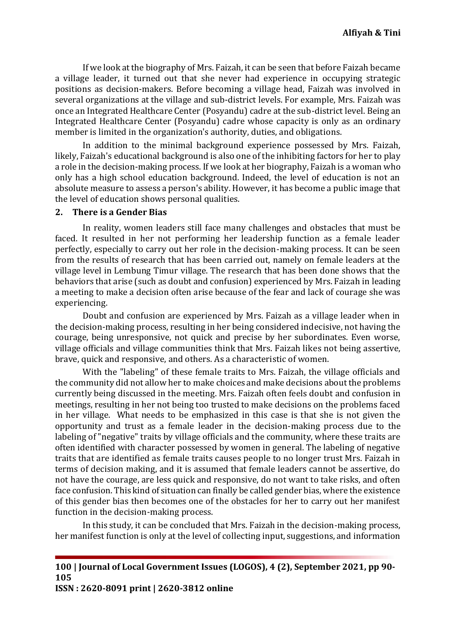If we look at the biography of Mrs. Faizah, it can be seen that before Faizah became a village leader, it turned out that she never had experience in occupying strategic positions as decision-makers. Before becoming a village head, Faizah was involved in several organizations at the village and sub-district levels. For example, Mrs. Faizah was once an Integrated Healthcare Center (Posyandu) cadre at the sub-district level. Being an Integrated Healthcare Center (Posyandu) cadre whose capacity is only as an ordinary member is limited in the organization's authority, duties, and obligations.

In addition to the minimal background experience possessed by Mrs. Faizah, likely, Faizah's educational background is also one of the inhibiting factors for her to play a role in the decision-making process. If we look at her biography, Faizah is a woman who only has a high school education background. Indeed, the level of education is not an absolute measure to assess a person's ability. However, it has become a public image that the level of education shows personal qualities.

#### **2. There is a Gender Bias**

In reality, women leaders still face many challenges and obstacles that must be faced. It resulted in her not performing her leadership function as a female leader perfectly, especially to carry out her role in the decision-making process. It can be seen from the results of research that has been carried out, namely on female leaders at the village level in Lembung Timur village. The research that has been done shows that the behaviors that arise (such as doubt and confusion) experienced by Mrs. Faizah in leading a meeting to make a decision often arise because of the fear and lack of courage she was experiencing.

Doubt and confusion are experienced by Mrs. Faizah as a village leader when in the decision-making process, resulting in her being considered indecisive, not having the courage, being unresponsive, not quick and precise by her subordinates. Even worse, village officials and village communities think that Mrs. Faizah likes not being assertive, brave, quick and responsive, and others. As a characteristic of women.

With the "labeling" of these female traits to Mrs. Faizah, the village officials and the community did not allow her to make choices and make decisions about the problems currently being discussed in the meeting. Mrs. Faizah often feels doubt and confusion in meetings, resulting in her not being too trusted to make decisions on the problems faced in her village. What needs to be emphasized in this case is that she is not given the opportunity and trust as a female leader in the decision-making process due to the labeling of "negative" traits by village officials and the community, where these traits are often identified with character possessed by women in general. The labeling of negative traits that are identified as female traits causes people to no longer trust Mrs. Faizah in terms of decision making, and it is assumed that female leaders cannot be assertive, do not have the courage, are less quick and responsive, do not want to take risks, and often face confusion. This kind of situation can finally be called gender bias, where the existence of this gender bias then becomes one of the obstacles for her to carry out her manifest function in the decision-making process.

In this study, it can be concluded that Mrs. Faizah in the decision-making process, her manifest function is only at the level of collecting input, suggestions, and information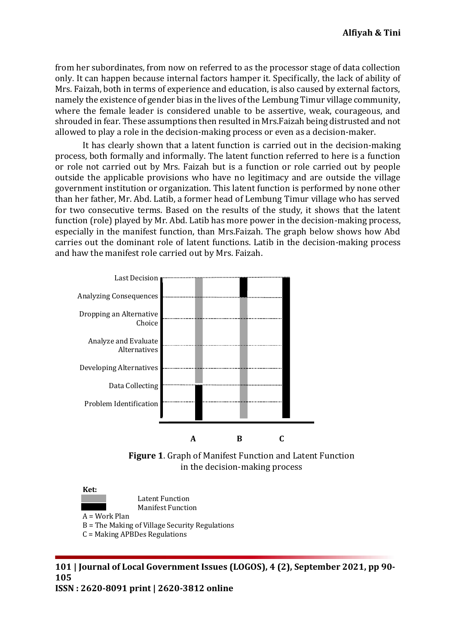from her subordinates, from now on referred to as the processor stage of data collection only. It can happen because internal factors hamper it. Specifically, the lack of ability of Mrs. Faizah, both in terms of experience and education, is also caused by external factors, namely the existence of gender bias in the lives of the Lembung Timur village community, where the female leader is considered unable to be assertive, weak, courageous, and shrouded in fear. These assumptions then resulted in Mrs.Faizah being distrusted and not allowed to play a role in the decision-making process or even as a decision-maker.

It has clearly shown that a latent function is carried out in the decision-making process, both formally and informally. The latent function referred to here is a function or role not carried out by Mrs. Faizah but is a function or role carried out by people outside the applicable provisions who have no legitimacy and are outside the village government institution or organization. This latent function is performed by none other than her father, Mr. Abd. Latib, a former head of Lembung Timur village who has served for two consecutive terms. Based on the results of the study, it shows that the latent function (role) played by Mr. Abd. Latib has more power in the decision-making process, especially in the manifest function, than Mrs.Faizah. The graph below shows how Abd carries out the dominant role of latent functions. Latib in the decision-making process and haw the manifest role carried out by Mrs. Faizah.



**Figure 1**. Graph of Manifest Function and Latent Function in the decision-making process

**Ket:**

Latent Function

Manifest Function

A = Work Plan

- B = The Making of Village Security Regulations
- C = Making APBDes Regulations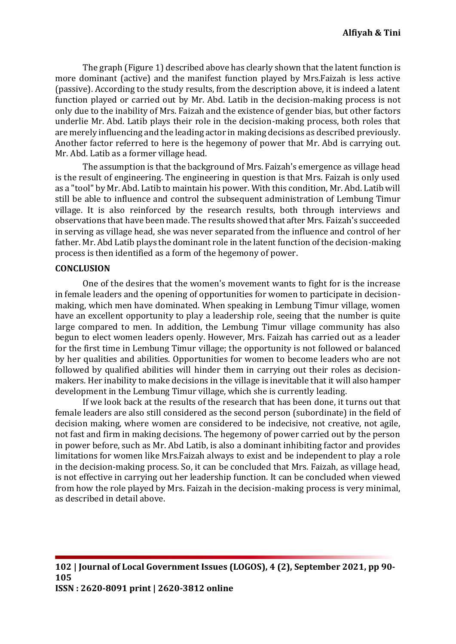The graph (Figure 1) described above has clearly shown that the latent function is more dominant (active) and the manifest function played by Mrs.Faizah is less active (passive). According to the study results, from the description above, it is indeed a latent function played or carried out by Mr. Abd. Latib in the decision-making process is not only due to the inability of Mrs. Faizah and the existence of gender bias, but other factors underlie Mr. Abd. Latib plays their role in the decision-making process, both roles that are merely influencing and the leading actor in making decisions as described previously. Another factor referred to here is the hegemony of power that Mr. Abd is carrying out. Mr. Abd. Latib as a former village head.

The assumption is that the background of Mrs. Faizah's emergence as village head is the result of engineering. The engineering in question is that Mrs. Faizah is only used as a "tool" by Mr. Abd. Latib to maintain his power. With this condition, Mr. Abd. Latib will still be able to influence and control the subsequent administration of Lembung Timur village. It is also reinforced by the research results, both through interviews and observations that have been made. The results showed that after Mrs. Faizah's succeeded in serving as village head, she was never separated from the influence and control of her father. Mr. Abd Latib plays the dominant role in the latent function of the decision-making process is then identified as a form of the hegemony of power.

#### **CONCLUSION**

One of the desires that the women's movement wants to fight for is the increase in female leaders and the opening of opportunities for women to participate in decisionmaking, which men have dominated. When speaking in Lembung Timur village, women have an excellent opportunity to play a leadership role, seeing that the number is quite large compared to men. In addition, the Lembung Timur village community has also begun to elect women leaders openly. However, Mrs. Faizah has carried out as a leader for the first time in Lembung Timur village; the opportunity is not followed or balanced by her qualities and abilities. Opportunities for women to become leaders who are not followed by qualified abilities will hinder them in carrying out their roles as decisionmakers. Her inability to make decisions in the village is inevitable that it will also hamper development in the Lembung Timur village, which she is currently leading.

If we look back at the results of the research that has been done, it turns out that female leaders are also still considered as the second person (subordinate) in the field of decision making, where women are considered to be indecisive, not creative, not agile, not fast and firm in making decisions. The hegemony of power carried out by the person in power before, such as Mr. Abd Latib, is also a dominant inhibiting factor and provides limitations for women like Mrs.Faizah always to exist and be independent to play a role in the decision-making process. So, it can be concluded that Mrs. Faizah, as village head, is not effective in carrying out her leadership function. It can be concluded when viewed from how the role played by Mrs. Faizah in the decision-making process is very minimal, as described in detail above.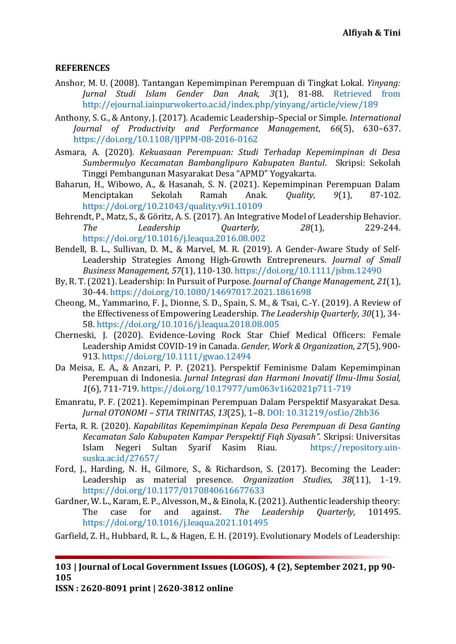# **REFERENCES**

- <span id="page-13-14"></span>Anshor, M. U. (2008). Tantangan Kepemimpinan Perempuan di Tingkat Lokal. *Yinyang: Jurnal Studi Islam Gender Dan Anak, 3*(1), 81-88. [Retrieved from](file:///E:/Design/IP/2k21/Pak%20Idhad/Anyar/Retrieved%20from%20http:/ejournal.iainpurwokerto.ac.id/index.php/yinyang/article/view/189)  [http://ejournal.iainpurwokerto.ac.id/index.php/yinyang/article/view/189](file:///E:/Design/IP/2k21/Pak%20Idhad/Anyar/Retrieved%20from%20http:/ejournal.iainpurwokerto.ac.id/index.php/yinyang/article/view/189)
- <span id="page-13-12"></span><span id="page-13-6"></span>Anthony, S. G., & Antony, J. (2017). Academic Leadership–Special or Simple. *International Journal of Productivity and Performance Management*, *66*(5), 630–637. <https://doi.org/10.1108/IJPPM-08-2016-0162>
- Asmara, A. (2020). *Kekuasaan Perempuan: Studi Terhadap Kepemimpinan di Desa Sumbermulyo Kecamatan Bambanglipuro Kabupaten Bantul*. Skripsi: Sekolah Tinggi Pembangunan Masyarakat Desa "APMD" Yogyakarta.
- <span id="page-13-10"></span>Baharun, H., Wibowo, A., & Hasanah, S. N. (2021). Kepemimpinan Perempuan Dalam Menciptakan Sekolah Ramah Anak. *Quality, 9*(1), 87-102. <https://doi.org/10.21043/quality.v9i1.10109>
- <span id="page-13-4"></span>Behrendt, P., Matz, S., & Göritz, A. S. (2017). An Integrative Model of Leadership Behavior. *The Leadership Quarterly, 28*(1), 229-244. <https://doi.org/10.1016/j.leaqua.2016.08.002>
- <span id="page-13-9"></span>Bendell, B. L., Sullivan, D. M., & Marvel, M. R. (2019). A Gender‐Aware Study of Self‐ Leadership Strategies Among High‐Growth Entrepreneurs. *Journal of Small Business Management, 57*(1), 110-130[. https://doi.org/10.1111/jsbm.12490](https://doi.org/10.1111/jsbm.12490)
- <span id="page-13-2"></span>By, R. T. (2021). Leadership: In Pursuit of Purpose. *Journal of Change Management, 21*(1), 30-44[. https://doi.org/10.1080/14697017.2021.1861698](https://doi.org/10.1080/14697017.2021.1861698)
- <span id="page-13-0"></span>Cheong, M., Yammarino, F. J., Dionne, S. D., Spain, S. M., & Tsai, C.-Y. (2019). A Review of the Effectiveness of Empowering Leadership. *The Leadership Quarterly, 30*(1), 34- 58.<https://doi.org/10.1016/j.leaqua.2018.08.005>
- <span id="page-13-8"></span>Cherneski, J. (2020). Evidence‐Loving Rock Star Chief Medical Officers: Female Leadership Amidst COVID‐19 in Canada. *Gender, Work & Organization, 27*(5), 900- 913.<https://doi.org/10.1111/gwao.12494>
- <span id="page-13-7"></span>Da Meisa, E. A., & Anzari, P. P. (2021). Perspektif Feminisme Dalam Kepemimpinan Perempuan di Indonesia. *Jurnal Integrasi dan Harmoni Inovatif Ilmu-Ilmu Sosial, 1*(6), 711-719.<https://doi.org/10.17977/um063v1i62021p711-719>
- <span id="page-13-13"></span>Emanratu, P. F. (2021). Kepemimpinan Perempuan Dalam Perspektif Masyarakat Desa. *Jurnal OTONOMI – STIA TRINITAS*, *13*(25), 1–8. [DOI: 10.31219/osf.io/2hb36](doi:%2010.31219/osf.io/2hb36)
- <span id="page-13-11"></span>Ferta, R. R. (2020). *Kapabilitas Kepemimpinan Kepala Desa Perempuan di Desa Ganting Kecamatan Salo Kabupaten Kampar Perspektif Fiqh Siyasah".* Skripsi: Universitas Islam Negeri Sultan Syarif Kasim Riau. [https://repository.uin](https://repository.uin-suska.ac.id/27657/)[suska.ac.id/27657/](https://repository.uin-suska.ac.id/27657/)
- <span id="page-13-5"></span>Ford, J., Harding, N. H., Gilmore, S., & Richardson, S. (2017). Becoming the Leader: Leadership as material presence. *Organization Studies, 38*(11), 1-19. <https://doi.org/10.1177/0170840616677633>
- <span id="page-13-1"></span>Gardner, W. L., Karam, E. P., Alvesson, M., & Einola, K. (2021). Authentic leadership theory: The case for and against. *The Leadership Quarterly*, 101495. <https://doi.org/10.1016/j.leaqua.2021.101495>
- <span id="page-13-3"></span>Garfield, Z. H., Hubbard, R. L., & Hagen, E. H. (2019). Evolutionary Models of Leadership:

**103 | Journal of Local Government Issues (LOGOS), 4 (2), September 2021, pp 90- 105**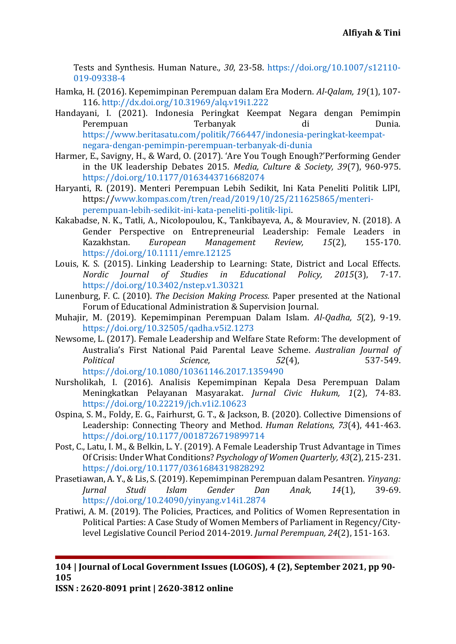Tests and Synthesis. Human Nature.*, 30*, 23-58. [https://doi.org/10.1007/s12110-](https://doi.org/10.1007/s12110-019-09338-4) [019-09338-4](https://doi.org/10.1007/s12110-019-09338-4)

- <span id="page-14-4"></span>Hamka, H. (2016). Kepemimpinan Perempuan dalam Era Modern. *Al-Qalam, 19*(1), 107- 116.<http://dx.doi.org/10.31969/alq.v19i1.222>
- <span id="page-14-8"></span>Handayani, I. (2021). Indonesia Peringkat Keempat Negara dengan Pemimpin Perempuan Terbanyak di Dunia. [https://www.beritasatu.com/politik/766447/indonesia-peringkat-keempat](https://www.beritasatu.com/politik/766447/indonesia-peringkat-keempat-negara-dengan-pemimpin-perempuan-terbanyak-di-dunia)[negara-dengan-pemimpin-perempuan-terbanyak-di-dunia](https://www.beritasatu.com/politik/766447/indonesia-peringkat-keempat-negara-dengan-pemimpin-perempuan-terbanyak-di-dunia)
- <span id="page-14-3"></span>Harmer, E., Savigny, H., & Ward, O. (2017). 'Are You Tough Enough?'Performing Gender in the UK leadership Debates 2015. *Media, Culture & Society, 39*(7), 960-975. <https://doi.org/10.1177/0163443716682074>
- <span id="page-14-9"></span>Haryanti, R. (2019). Menteri Perempuan Lebih Sedikit, Ini Kata Peneliti Politik LIPI, https:/[/www.kompas.com/tren/read/2019/10/25/211625865/menteri](http://www.kompas.com/tren/read/2019/10/25/211625865/menteri-perempuan-lebih-sedikit-ini-kata-peneliti-politik-lipi)[perempuan-lebih-sedikit-ini-kata-peneliti-politik-lipi.](http://www.kompas.com/tren/read/2019/10/25/211625865/menteri-perempuan-lebih-sedikit-ini-kata-peneliti-politik-lipi)
- <span id="page-14-7"></span>Kakabadse, N. K., Tatli, A., Nicolopoulou, K., Tankibayeva, A., & Mouraviev, N. (2018). A Gender Perspective on Entrepreneurial Leadership: Female Leaders in Kazakhstan. *European Management Review, 15*(2), 155-170. <https://doi.org/10.1111/emre.12125>
- <span id="page-14-1"></span>Louis, K. S. (2015). Linking Leadership to Learning: State, District and Local Effects. *Nordic Journal of Studies in Educational Policy, 2015*(3), 7-17. <https://doi.org/10.3402/nstep.v1.30321>
- <span id="page-14-13"></span>Lunenburg, F. C. (2010). *The Decision Making Process.* Paper presented at the National Forum of Educational Administration & Supervision Journal.
- <span id="page-14-5"></span>Muhajir, M. (2019). Kepemimpinan Perempuan Dalam Islam. *Al-Qadha, 5*(2), 9-19. <https://doi.org/10.32505/qadha.v5i2.1273>
- <span id="page-14-6"></span>Newsome, L. (2017). Female Leadership and Welfare State Reform: The development of Australia's First National Paid Parental Leave Scheme. *Australian Journal of Political Science, 52*(4), 537-549. <https://doi.org/10.1080/10361146.2017.1359490>
- <span id="page-14-12"></span>Nursholikah, I. (2016). Analisis Kepemimpinan Kepala Desa Perempuan Dalam Meningkatkan Pelayanan Masyarakat. *Jurnal Civic Hukum, 1*(2), 74-83. <https://doi.org/10.22219/jch.v1i2.10623>
- <span id="page-14-2"></span>Ospina, S. M., Foldy, E. G., Fairhurst, G. T., & Jackson, B. (2020). Collective Dimensions of Leadership: Connecting Theory and Method. *Human Relations, 73*(4), 441-463. <https://doi.org/10.1177/0018726719899714>
- <span id="page-14-0"></span>Post, C., Latu, I. M., & Belkin, L. Y. (2019). A Female Leadership Trust Advantage in Times Of Crisis: Under What Conditions? *Psychology of Women Quarterly, 43*(2), 215-231. <https://doi.org/10.1177/0361684319828292>
- <span id="page-14-11"></span>Prasetiawan, A. Y., & Lis, S. (2019). Kepemimpinan Perempuan dalam Pesantren. *Yinyang: Jurnal Studi Islam Gender Dan Anak, 14*(1), 39-69. <https://doi.org/10.24090/yinyang.v14i1.2874>
- <span id="page-14-10"></span>Pratiwi, A. M. (2019). The Policies, Practices, and Politics of Women Representation in Political Parties: A Case Study of Women Members of Parliament in Regency/Citylevel Legislative Council Period 2014-2019. *Jurnal Perempuan, 24*(2), 151-163.

**104 | Journal of Local Government Issues (LOGOS), 4 (2), September 2021, pp 90- 105**